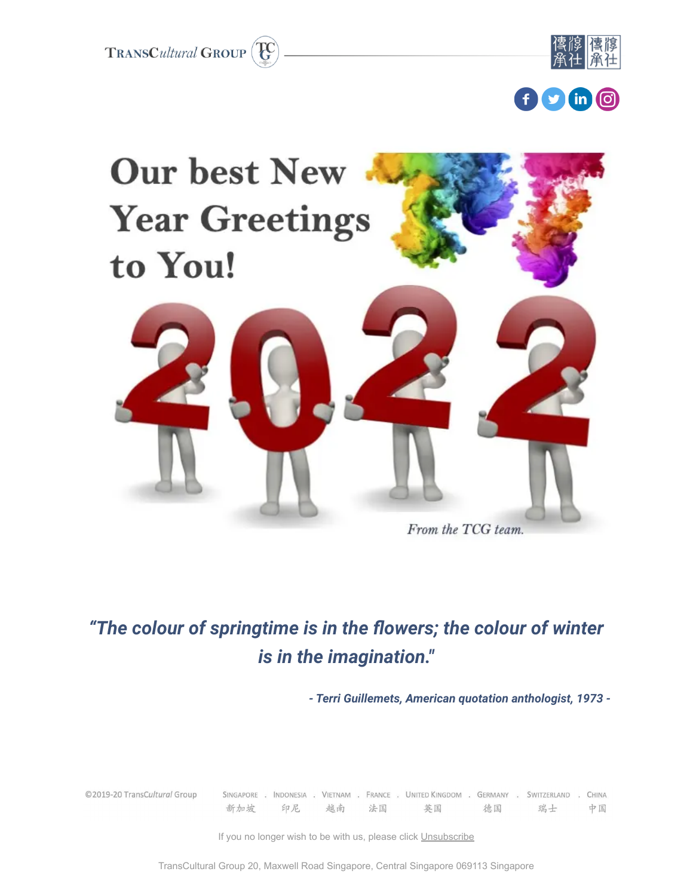**TRANSCultural GROUP**  $\left(\overline{\mathbf{E}}\right)$ 







# *"The colour of springtime is in the flowers; the colour of winter is in the imagination."*

*- Terri Guillemets, American quotation anthologist, 1973 -*

©2019-20 TransCultural Group

SINGAPORE . INDONESIA . VIETNAM . FRANCE . UNITED KINGDOM . GERMANY . SWITZERLAND . CHINA 德国 瑞士 新加坡 印尼 越南 法国 英国 中国

If you no longer wish to be with us, please click [Unsubscribe](https://xu237.infusionsoft.com/app/linkClick/9101/f1c6b7b40f90688f/14125/4579fc11a2c66ec1)

TransCultural Group 20, Maxwell Road Singapore, Central Singapore 069113 Singapore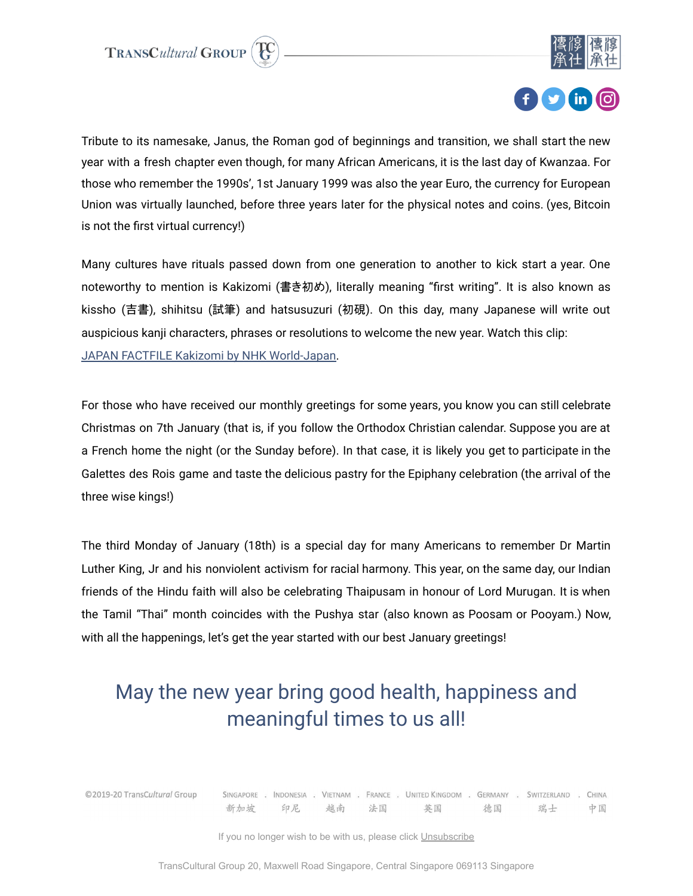



Tribute to its namesake, Janus, the Roman god of beginnings and transition, we shall start the new year with a fresh chapter even though, for many African Americans, it is the last day of Kwanzaa. For those who remember the 1990s', 1st January 1999 was also the year Euro, the currency for European Union was virtually launched, before three years later for the physical notes and coins. (yes, Bitcoin is not the first virtual currency!)

Many cultures have rituals passed down from one generation to another to kick start a year. One noteworthy to mention is Kakizomi (書き初め), literally meaning "first writing". It is also known as kissho (吉書), shihitsu (試筆) and hatsusuzuri (初硯). On this day, many Japanese will write out auspicious kanji characters, phrases or resolutions to welcome the new year. Watch this clip: [JAPAN FACTFILE Kakizomi by NHK World-Japan](https://transculturalgroup.lt.acemlnc.com/Prod/link-tracker?redirectUrl=aHR0cHMlM0ElMkYlMkZ3d3cueW91dHViZS5jb20lMkZ3YXRjaCUzRmluZl9jb250YWN0X2tleSUzRGQwODlkNmYxOWIxNWRlM2UwMzNiYzY0MDZhMTZhNTc0JTI2diUzRGJZUzRsanlHWmF3JTI2dXRtX3NvdXJjZSUzREFjdGl2ZUNhbXBhaWduJTI2dXRtX21lZGl1bSUzRGVtYWlsJTI2dXRtX2NvbnRlbnQlM0QyMDIyJTJCSmFudWFyeSUyQkdyZWV0aW5ncyUyQmZyb20lMkJUcmFuc0N1bHR1cmFsJTJCR3JvdXAlMkJ0byUyQiUyQkZJUlNUTkFNRSUyNnV0bV9jYW1wYWlnbiUzRFRDRyUyQk1vbnRobHklMkJOZXdzbGV0dGVy&sig=DBcGb3SkCUgPZLb4mQMFAcxUEEd2ngTkRV3cNfPatxtj&iat=1641047904&a=%7C%7C800692691%7C%7C&account=transculturalgroup%2Eactivehosted%2Ecom&email=AeF7UNO8n0J1yJ4SotNHfQLPkW1efsNDmrdD24%2FSjmA%3D&s=0009e8c56fe88fa19eb59ddae1cb624d&i=12A13A1A150).

For those who have received our monthly greetings for some years, you know you can still celebrate Christmas on 7th January (that is, if you follow the Orthodox Christian calendar. Suppose you are at a French home the night (or the Sunday before). In that case, it is likely you get to participate in the Galettes des Rois game and taste the delicious pastry for the Epiphany celebration (the arrival of the three wise kings!)

The third Monday of January (18th) is a special day for many Americans to remember Dr Martin Luther King, Jr and his nonviolent activism for racial harmony. This year, on the same day, our Indian friends of the Hindu faith will also be celebrating Thaipusam in honour of Lord Murugan. It is when the Tamil "Thai" month coincides with the Pushya star (also known as Poosam or Pooyam.) Now, with all the happenings, let's get the year started with our best January greetings!

## May the new year bring good health, happiness and meaningful times to us all!

| ©2019-20 TransCultural Group SINGAPORE , INDONESIA , VIETNAM , FRANCE , UNITED KINGDOM , GERMANY , SWITZERLAND , CHINA |  |  |                          |  |  |
|------------------------------------------------------------------------------------------------------------------------|--|--|--------------------------|--|--|
|                                                                                                                        |  |  | 新加坡 印尼 越南 法国 英国 德国 瑞士 中国 |  |  |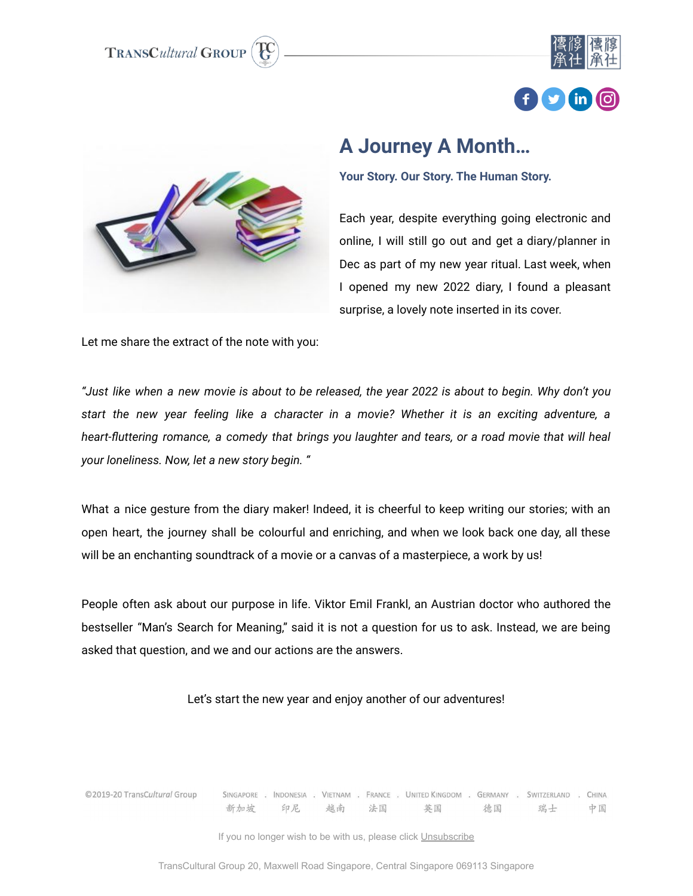





## **A Journey A Month…**

**Your Story. Our Story. The Human Story.**

Each year, despite everything going electronic and online, I will still go out and get a diary/planner in Dec as part of my new year ritual. Last week, when I opened my new 2022 diary, I found a pleasant surprise, a lovely note inserted in its cover.

Let me share the extract of the note with you:

"Just like when a new movie is about to be released, the year 2022 is about to begin. Why don't you *start the new year feeling like a character in a movie? Whether it is an exciting adventure, a heart-fluttering romance, a comedy that brings you laughter and tears, or a road movie that will heal your loneliness. Now, let a new story begin. "*

What a nice gesture from the diary maker! Indeed, it is cheerful to keep writing our stories; with an open heart, the journey shall be colourful and enriching, and when we look back one day, all these will be an enchanting soundtrack of a movie or a canvas of a masterpiece, a work by us!

People often ask about our purpose in life. Viktor Emil Frankl, an Austrian doctor who authored the bestseller "Man's Search for Meaning," said it is not a question for us to ask. Instead, we are being asked that question, and we and our actions are the answers.

Let's start the new year and enjoy another of our adventures!

©2019-20 TransCultural Group SINGAPORE . INDONESIA . VIETNAM . FRANCE . UNITED KINGDOM . GERMANY . SWITZERLAND . CHINA 印尼 越南 新加坡 法国 英国 徳国 瑞士 中国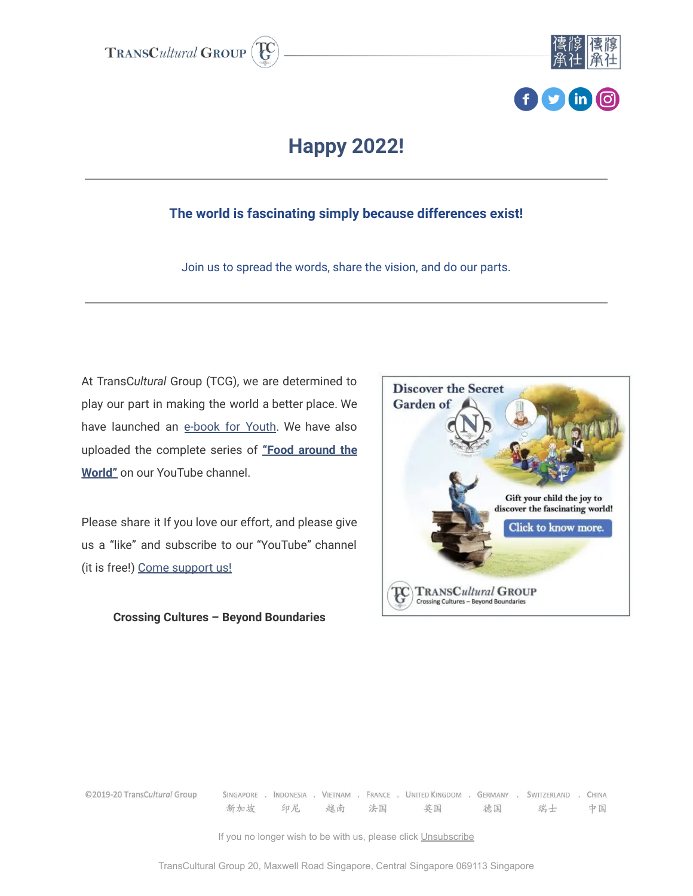



### **The world is fascinating simply because differences exist!**

Join us to spread the words, share the vision, and do our parts.

At TransC*ultural* Group (TCG), we are determined to play our part in making the world a better place. We have launched an [e-book](https://xu237.keap-link001.com/api/v1/click/4818609357324288/6368856783323136) for Youth. We have also uploaded the complete series of **"Food [around](https://xu237.keap-link001.com/api/v1/click/6654514871271424/6368856783323136) the [World"](https://xu237.keap-link001.com/api/v1/click/6654514871271424/6368856783323136)** on our YouTube channel.

Please share it If you love our effort, and please give us a "like" and subscribe to our "YouTube" channel (it is free!) [Come support us!](https://xu237.keap-link001.com/api/v1/click/5747706614906880/6368856783323136)

#### **Crossing Cultures – Beyond Boundaries**



©2019-20 TransCultural Group

新加坡

SINGAPORE . INDONESIA . VIETNAM . FRANCE . UNITED KINGDOM . GERMANY . SWITZERLAND . CHINA 印尼 越南 法国 德国 瑞士 中国 英国